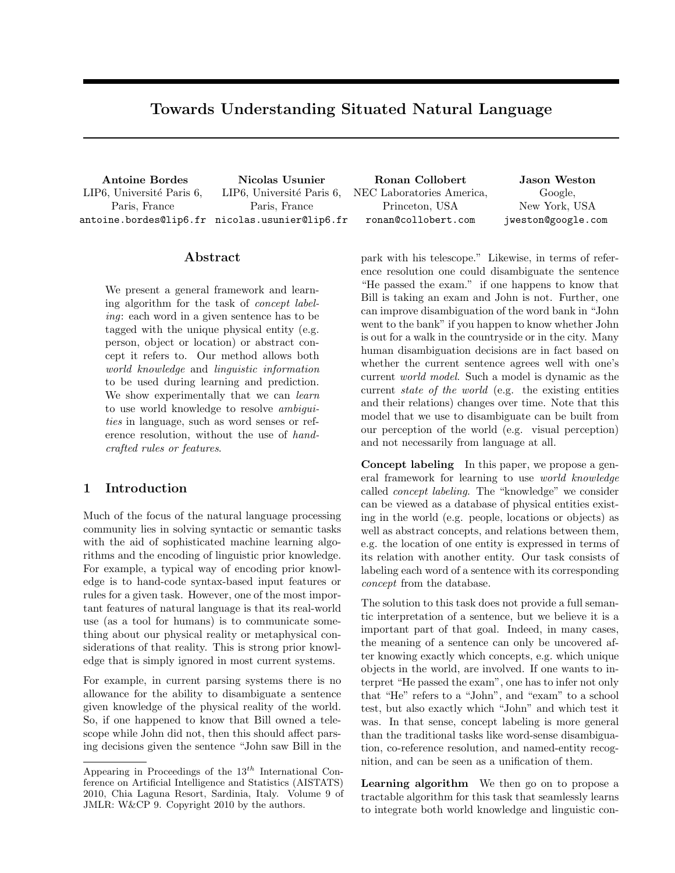# Towards Understanding Situated Natural Language

LIP6, Université Paris 6, Paris, France

Antoine Bordes Nicolas Usunier Ronan Collobert Jason Weston antoine.bordes@lip6.fr nicolas.usunier@lip6.fr LIP6, Université Paris 6, Paris, France

NEC Laboratories America, Princeton, USA ronan@collobert.com

Google, New York, USA jweston@google.com

## Abstract

We present a general framework and learning algorithm for the task of concept labeling: each word in a given sentence has to be tagged with the unique physical entity (e.g. person, object or location) or abstract concept it refers to. Our method allows both world knowledge and linguistic information to be used during learning and prediction. We show experimentally that we can *learn* to use world knowledge to resolve *ambigui*ties in language, such as word senses or reference resolution, without the use of handcrafted rules or features.

# 1 Introduction

Much of the focus of the natural language processing community lies in solving syntactic or semantic tasks with the aid of sophisticated machine learning algorithms and the encoding of linguistic prior knowledge. For example, a typical way of encoding prior knowledge is to hand-code syntax-based input features or rules for a given task. However, one of the most important features of natural language is that its real-world use (as a tool for humans) is to communicate something about our physical reality or metaphysical considerations of that reality. This is strong prior knowledge that is simply ignored in most current systems.

For example, in current parsing systems there is no allowance for the ability to disambiguate a sentence given knowledge of the physical reality of the world. So, if one happened to know that Bill owned a telescope while John did not, then this should affect parsing decisions given the sentence "John saw Bill in the park with his telescope." Likewise, in terms of reference resolution one could disambiguate the sentence "He passed the exam." if one happens to know that Bill is taking an exam and John is not. Further, one can improve disambiguation of the word bank in "John went to the bank" if you happen to know whether John is out for a walk in the countryside or in the city. Many human disambiguation decisions are in fact based on whether the current sentence agrees well with one's current world model. Such a model is dynamic as the current state of the world (e.g. the existing entities and their relations) changes over time. Note that this model that we use to disambiguate can be built from our perception of the world (e.g. visual perception) and not necessarily from language at all.

Concept labeling In this paper, we propose a general framework for learning to use world knowledge called concept labeling. The "knowledge" we consider can be viewed as a database of physical entities existing in the world (e.g. people, locations or objects) as well as abstract concepts, and relations between them, e.g. the location of one entity is expressed in terms of its relation with another entity. Our task consists of labeling each word of a sentence with its corresponding concept from the database.

The solution to this task does not provide a full semantic interpretation of a sentence, but we believe it is a important part of that goal. Indeed, in many cases, the meaning of a sentence can only be uncovered after knowing exactly which concepts, e.g. which unique objects in the world, are involved. If one wants to interpret "He passed the exam", one has to infer not only that "He" refers to a "John", and "exam" to a school test, but also exactly which "John" and which test it was. In that sense, concept labeling is more general than the traditional tasks like word-sense disambiguation, co-reference resolution, and named-entity recognition, and can be seen as a unification of them.

Learning algorithm We then go on to propose a tractable algorithm for this task that seamlessly learns to integrate both world knowledge and linguistic con-

Appearing in Proceedings of the  $13^{th}$  International Conference on Artificial Intelligence and Statistics (AISTATS) 2010, Chia Laguna Resort, Sardinia, Italy. Volume 9 of JMLR: W&CP 9. Copyright 2010 by the authors.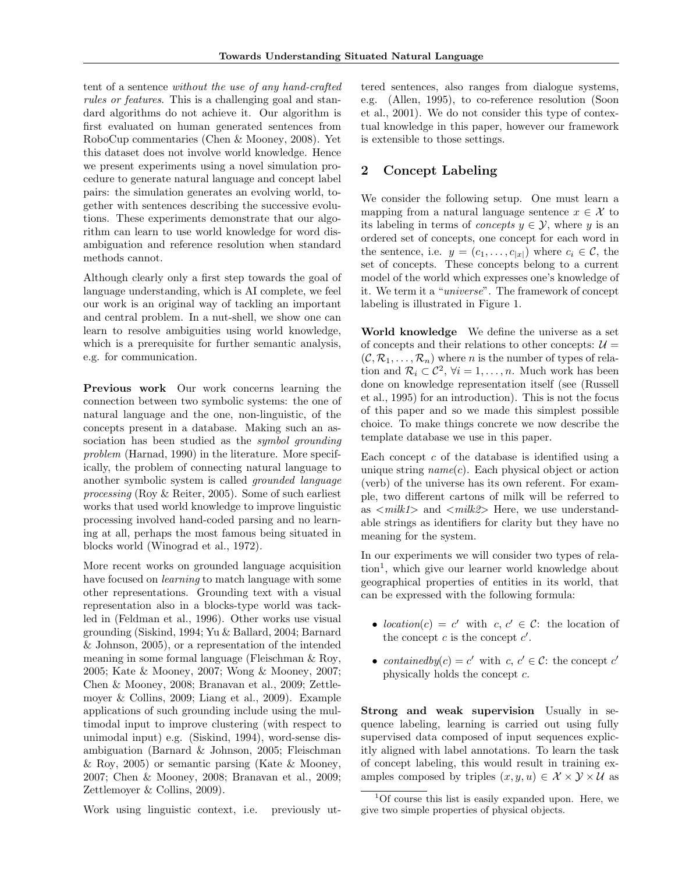tent of a sentence without the use of any hand-crafted rules or features. This is a challenging goal and standard algorithms do not achieve it. Our algorithm is first evaluated on human generated sentences from RoboCup commentaries (Chen & Mooney, 2008). Yet this dataset does not involve world knowledge. Hence we present experiments using a novel simulation procedure to generate natural language and concept label pairs: the simulation generates an evolving world, together with sentences describing the successive evolutions. These experiments demonstrate that our algorithm can learn to use world knowledge for word disambiguation and reference resolution when standard methods cannot.

Although clearly only a first step towards the goal of language understanding, which is AI complete, we feel our work is an original way of tackling an important and central problem. In a nut-shell, we show one can learn to resolve ambiguities using world knowledge, which is a prerequisite for further semantic analysis, e.g. for communication.

Previous work Our work concerns learning the connection between two symbolic systems: the one of natural language and the one, non-linguistic, of the concepts present in a database. Making such an association has been studied as the *symbol grounding* problem (Harnad, 1990) in the literature. More specifically, the problem of connecting natural language to another symbolic system is called grounded language processing (Roy & Reiter, 2005). Some of such earliest works that used world knowledge to improve linguistic processing involved hand-coded parsing and no learning at all, perhaps the most famous being situated in blocks world (Winograd et al., 1972).

More recent works on grounded language acquisition have focused on *learning* to match language with some other representations. Grounding text with a visual representation also in a blocks-type world was tackled in (Feldman et al., 1996). Other works use visual grounding (Siskind, 1994; Yu & Ballard, 2004; Barnard & Johnson, 2005), or a representation of the intended meaning in some formal language (Fleischman & Roy, 2005; Kate & Mooney, 2007; Wong & Mooney, 2007; Chen & Mooney, 2008; Branavan et al., 2009; Zettlemoyer & Collins, 2009; Liang et al., 2009). Example applications of such grounding include using the multimodal input to improve clustering (with respect to unimodal input) e.g. (Siskind, 1994), word-sense disambiguation (Barnard & Johnson, 2005; Fleischman & Roy, 2005) or semantic parsing (Kate & Mooney, 2007; Chen & Mooney, 2008; Branavan et al., 2009; Zettlemoyer & Collins, 2009).

tered sentences, also ranges from dialogue systems, e.g. (Allen, 1995), to co-reference resolution (Soon et al., 2001). We do not consider this type of contextual knowledge in this paper, however our framework is extensible to those settings.

# 2 Concept Labeling

We consider the following setup. One must learn a mapping from a natural language sentence  $x \in \mathcal{X}$  to its labeling in terms of *concepts*  $y \in \mathcal{Y}$ , where y is an ordered set of concepts, one concept for each word in the sentence, i.e.  $y = (c_1, \ldots, c_{|x|})$  where  $c_i \in \mathcal{C}$ , the set of concepts. These concepts belong to a current model of the world which expresses one's knowledge of it. We term it a "universe". The framework of concept labeling is illustrated in Figure 1.

World knowledge We define the universe as a set of concepts and their relations to other concepts:  $\mathcal{U} =$  $(C, \mathcal{R}_1, \ldots, \mathcal{R}_n)$  where n is the number of types of relation and  $\mathcal{R}_i \subset \mathcal{C}^2$ ,  $\forall i = 1, \ldots, n$ . Much work has been done on knowledge representation itself (see (Russell et al., 1995) for an introduction). This is not the focus of this paper and so we made this simplest possible choice. To make things concrete we now describe the template database we use in this paper.

Each concept  $c$  of the database is identified using a unique string  $name(c)$ . Each physical object or action (verb) of the universe has its own referent. For example, two different cartons of milk will be referred to as  $\langle$  milk1> and  $\langle$  milk2> Here, we use understandable strings as identifiers for clarity but they have no meaning for the system.

In our experiments we will consider two types of relation<sup>1</sup>, which give our learner world knowledge about geographical properties of entities in its world, that can be expressed with the following formula:

- location(c) = c' with c,  $c' \in \mathcal{C}$ : the location of the concept  $c$  is the concept  $c'$ .
- contained by  $(c) = c'$  with  $c, c' \in \mathcal{C}$ : the concept  $c'$ physically holds the concept c.

Strong and weak supervision Usually in sequence labeling, learning is carried out using fully supervised data composed of input sequences explicitly aligned with label annotations. To learn the task of concept labeling, this would result in training examples composed by triples  $(x, y, u) \in \mathcal{X} \times \mathcal{Y} \times \mathcal{U}$  as

Work using linguistic context, i.e. previously ut-

<sup>1</sup>Of course this list is easily expanded upon. Here, we give two simple properties of physical objects.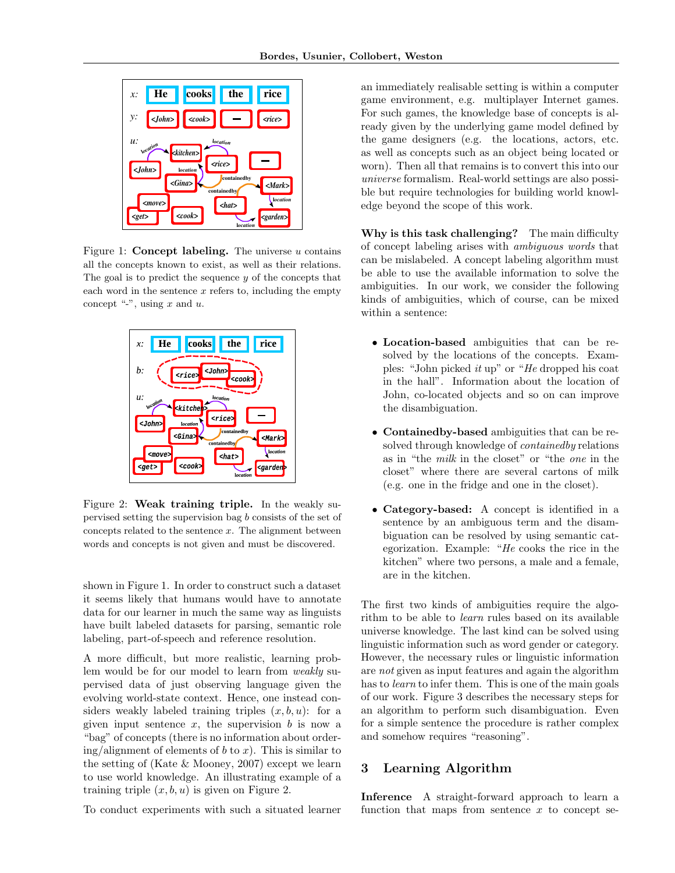

Figure 1: **Concept labeling.** The universe  $u$  contains all the concepts known to exist, as well as their relations. The goal is to predict the sequence  $y$  of the concepts that each word in the sentence  $x$  refers to, including the empty concept "-", using  $x$  and  $u$ .



Figure 2: Weak training triple. In the weakly supervised setting the supervision bag b consists of the set of concepts related to the sentence  $x$ . The alignment between words and concepts is not given and must be discovered.

shown in Figure 1. In order to construct such a dataset it seems likely that humans would have to annotate data for our learner in much the same way as linguists have built labeled datasets for parsing, semantic role labeling, part-of-speech and reference resolution.

A more difficult, but more realistic, learning problem would be for our model to learn from weakly supervised data of just observing language given the evolving world-state context. Hence, one instead considers weakly labeled training triples  $(x, b, u)$ : for a given input sentence  $x$ , the supervision  $b$  is now a "bag" of concepts (there is no information about order $ing/alignment$  of elements of b to x). This is similar to the setting of (Kate & Mooney, 2007) except we learn to use world knowledge. An illustrating example of a training triple  $(x, b, u)$  is given on Figure 2.

To conduct experiments with such a situated learner

an immediately realisable setting is within a computer game environment, e.g. multiplayer Internet games. For such games, the knowledge base of concepts is already given by the underlying game model defined by the game designers (e.g. the locations, actors, etc. as well as concepts such as an object being located or worn). Then all that remains is to convert this into our universe formalism. Real-world settings are also possible but require technologies for building world knowledge beyond the scope of this work.

Why is this task challenging? The main difficulty of concept labeling arises with ambiguous words that can be mislabeled. A concept labeling algorithm must be able to use the available information to solve the ambiguities. In our work, we consider the following kinds of ambiguities, which of course, can be mixed within a sentence:

- Location-based ambiguities that can be resolved by the locations of the concepts. Examples: "John picked it up" or "He dropped his coat in the hall". Information about the location of John, co-located objects and so on can improve the disambiguation.
- Containedby-based ambiguities that can be resolved through knowledge of containedby relations as in "the milk in the closet" or "the one in the closet" where there are several cartons of milk (e.g. one in the fridge and one in the closet).
- Category-based: A concept is identified in a sentence by an ambiguous term and the disambiguation can be resolved by using semantic categorization. Example: "He cooks the rice in the kitchen" where two persons, a male and a female, are in the kitchen.

The first two kinds of ambiguities require the algorithm to be able to learn rules based on its available universe knowledge. The last kind can be solved using linguistic information such as word gender or category. However, the necessary rules or linguistic information are not given as input features and again the algorithm has to *learn* to infer them. This is one of the main goals of our work. Figure 3 describes the necessary steps for an algorithm to perform such disambiguation. Even for a simple sentence the procedure is rather complex and somehow requires "reasoning".

## 3 Learning Algorithm

Inference A straight-forward approach to learn a function that maps from sentence  $x$  to concept se-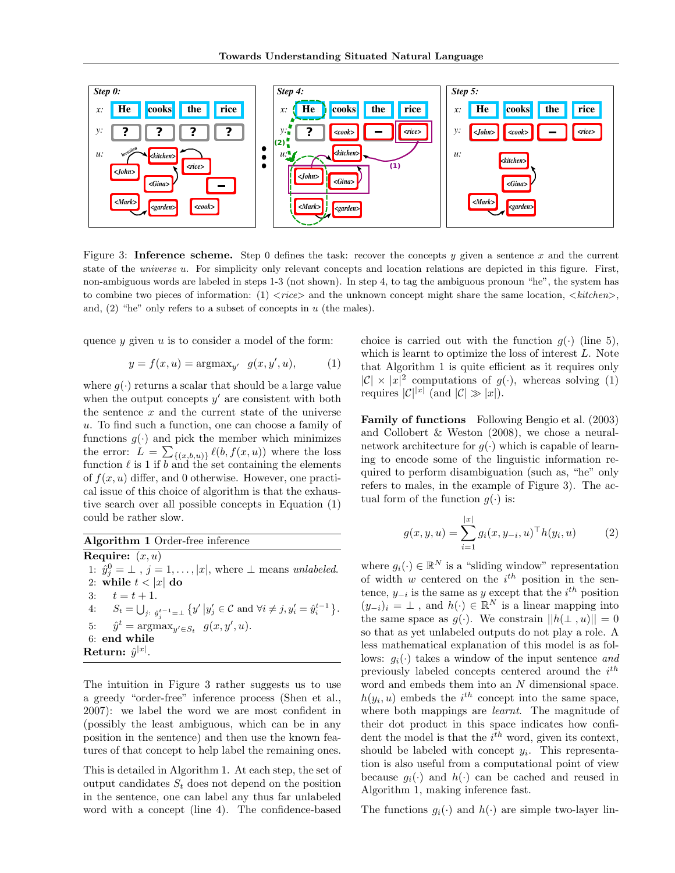

Figure 3: Inference scheme. Step 0 defines the task: recover the concepts y given a sentence x and the current state of the *universe u.* For simplicity only relevant concepts and location relations are depicted in this figure. First, non-ambiguous words are labeled in steps 1-3 (not shown). In step 4, to tag the ambiguous pronoun "he", the system has to combine two pieces of information: (1)  $\langle rice \rangle$  and the unknown concept might share the same location,  $\langle kitchen \rangle$ , and,  $(2)$  "he" only refers to a subset of concepts in u (the males).

quence  $y$  given  $u$  is to consider a model of the form:

$$
y = f(x, u) = \operatorname{argmax}_{y'} g(x, y', u),
$$
 (1)

where  $g(\cdot)$  returns a scalar that should be a large value when the output concepts  $y'$  are consistent with both the sentence  $x$  and the current state of the universe u. To find such a function, one can choose a family of functions  $g(\cdot)$  and pick the member which minimizes the error:  $L = \sum_{\{(x,b,u)\}} \ell(b, f(x,u))$  where the loss function  $\ell$  is 1 if b and the set containing the elements of  $f(x, u)$  differ, and 0 otherwise. However, one practical issue of this choice of algorithm is that the exhaustive search over all possible concepts in Equation (1) could be rather slow.

Algorithm 1 Order-free inference **Require:**  $(x, u)$ 1:  $\hat{y}_j^0 = \perp$ ,  $j = 1, \ldots, |x|$ , where  $\perp$  means unlabeled. 2: while  $t < |x|$  do 3:  $t = t + 1$ . 4:  $S_t = \bigcup_{j: \; \hat{y}_j^{t-1} = \bot} \{y' \, \big| y'_j \in \mathcal{C} \text{ and } \forall i \neq j, y'_i = \hat{y}_i^{t-1} \}.$ 5:  $\hat{y}^t = \operatorname{argmax}_{y' \in S_t} g(x, y', u).$ 6: end while  ${\bf Return:}\,\,\hat{y}^{|x|}.$ 

The intuition in Figure 3 rather suggests us to use a greedy "order-free" inference process (Shen et al., 2007): we label the word we are most confident in (possibly the least ambiguous, which can be in any position in the sentence) and then use the known features of that concept to help label the remaining ones.

This is detailed in Algorithm 1. At each step, the set of output candidates  $S_t$  does not depend on the position in the sentence, one can label any thus far unlabeled word with a concept (line 4). The confidence-based

choice is carried out with the function  $g(\cdot)$  (line 5), which is learnt to optimize the loss of interest L. Note that Algorithm 1 is quite efficient as it requires only  $|C| \times |x|^2$  computations of  $g(\cdot)$ , whereas solving (1) requires  $|\mathcal{C}|^{|x|}$  (and  $|\mathcal{C}| \gg |x|$ ).

Family of functions Following Bengio et al. (2003) and Collobert & Weston (2008), we chose a neuralnetwork architecture for  $g(\cdot)$  which is capable of learning to encode some of the linguistic information required to perform disambiguation (such as, "he" only refers to males, in the example of Figure 3). The actual form of the function  $g(\cdot)$  is:

$$
g(x, y, u) = \sum_{i=1}^{|x|} g_i(x, y_{-i}, u)^\top h(y_i, u)
$$
 (2)

where  $g_i(\cdot) \in \mathbb{R}^N$  is a "sliding window" representation of width  $w$  centered on the  $i^{th}$  position in the sentence,  $y_{-i}$  is the same as y except that the  $i^{th}$  position  $(y_{-i})_i = \perp$ , and  $h(\cdot) \in \mathbb{R}^N$  is a linear mapping into the same space as  $g(\cdot)$ . We constrain  $||h(\perp, u)|| = 0$ so that as yet unlabeled outputs do not play a role. A less mathematical explanation of this model is as follows:  $g_i(\cdot)$  takes a window of the input sentence and previously labeled concepts centered around the  $i^{th}$ word and embeds them into an N dimensional space.  $h(y_i, u)$  embeds the  $i^{th}$  concept into the same space, where both mappings are *learnt*. The magnitude of their dot product in this space indicates how confident the model is that the  $i^{th}$  word, given its context, should be labeled with concept  $y_i$ . This representation is also useful from a computational point of view because  $g_i(\cdot)$  and  $h(\cdot)$  can be cached and reused in Algorithm 1, making inference fast.

The functions  $g_i(\cdot)$  and  $h(\cdot)$  are simple two-layer lin-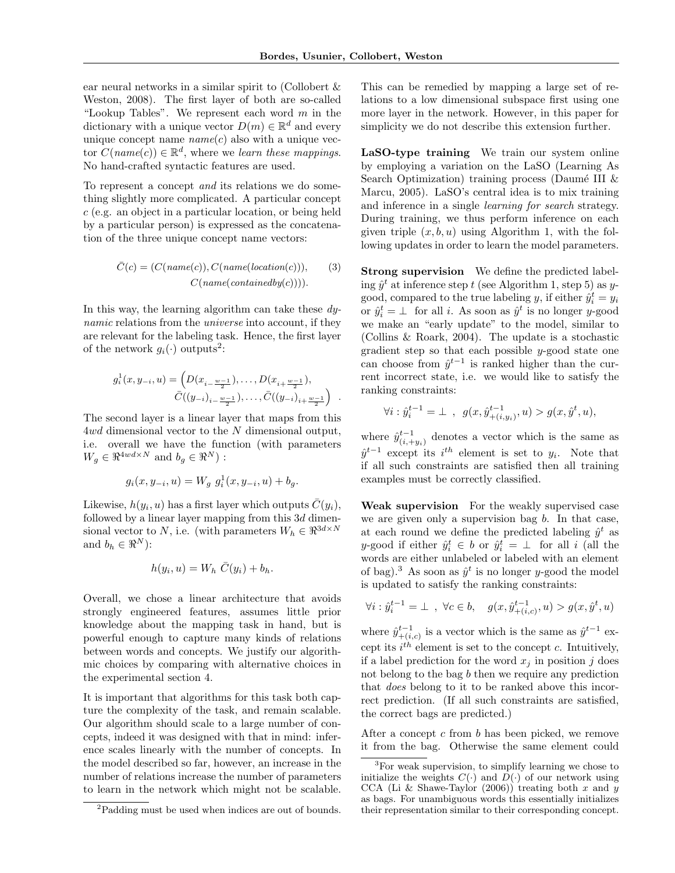.

ear neural networks in a similar spirit to (Collobert & Weston, 2008). The first layer of both are so-called "Lookup Tables". We represent each word  $m$  in the dictionary with a unique vector  $D(m) \in \mathbb{R}^d$  and every unique concept name  $name(c)$  also with a unique vector  $C(name(c)) \in \mathbb{R}^d$ , where we learn these mappings. No hand-crafted syntactic features are used.

To represent a concept and its relations we do something slightly more complicated. A particular concept c (e.g. an object in a particular location, or being held by a particular person) is expressed as the concatenation of the three unique concept name vectors:

$$
\bar{C}(c) = (C(name(c)), C(name(location(c))),
$$
\n
$$
C(name(containedby(c))))
$$

In this way, the learning algorithm can take these dynamic relations from the universe into account, if they are relevant for the labeling task. Hence, the first layer of the network  $g_i(\cdot)$  outputs<sup>2</sup>:

$$
g_i^1(x, y_{-i}, u) = \left( D(x_{i - \frac{w-1}{2}}), \dots, D(x_{i + \frac{w-1}{2}}), \right. \\
\bar{C}((y_{-i})_{i - \frac{w-1}{2}}), \dots, \bar{C}((y_{-i})_{i + \frac{w-1}{2}}) \right)
$$

The second layer is a linear layer that maps from this 4wd dimensional vector to the N dimensional output, i.e. overall we have the function (with parameters  $W_g \in \Re^{4wd \times N}$  and  $b_g \in \Re^N)$ :

$$
g_i(x, y_{-i}, u) = W_g \ g_i^1(x, y_{-i}, u) + b_g.
$$

Likewise,  $h(y_i, u)$  has a first layer which outputs  $\bar{C}(y_i)$ , followed by a linear layer mapping from this  $3d$  dimensional vector to N, i.e. (with parameters  $W_h \in \mathbb{R}^{3d \times N}$ and  $b_h \in \Re^N$ :

$$
h(y_i, u) = W_h \bar{C}(y_i) + b_h.
$$

Overall, we chose a linear architecture that avoids strongly engineered features, assumes little prior knowledge about the mapping task in hand, but is powerful enough to capture many kinds of relations between words and concepts. We justify our algorithmic choices by comparing with alternative choices in the experimental section 4.

It is important that algorithms for this task both capture the complexity of the task, and remain scalable. Our algorithm should scale to a large number of concepts, indeed it was designed with that in mind: inference scales linearly with the number of concepts. In the model described so far, however, an increase in the number of relations increase the number of parameters to learn in the network which might not be scalable.

This can be remedied by mapping a large set of relations to a low dimensional subspace first using one more layer in the network. However, in this paper for simplicity we do not describe this extension further.

LaSO-type training We train our system online by employing a variation on the LaSO (Learning As Search Optimization) training process (Daumé III  $\&$ Marcu, 2005). LaSO's central idea is to mix training and inference in a single learning for search strategy. During training, we thus perform inference on each given triple  $(x, b, u)$  using Algorithm 1, with the following updates in order to learn the model parameters.

Strong supervision We define the predicted labeling  $\hat{y}^t$  at inference step t (see Algorithm 1, step 5) as ygood, compared to the true labeling y, if either  $\hat{y}_i^t = y_i$ or  $\hat{y}_i^t = \perp$  for all *i*. As soon as  $\hat{y}^t$  is no longer *y*-good we make an "early update" to the model, similar to (Collins & Roark, 2004). The update is a stochastic gradient step so that each possible  $y$ -good state one can choose from  $\hat{y}^{t-1}$  is ranked higher than the current incorrect state, i.e. we would like to satisfy the ranking constraints:

$$
\forall i: \hat{y}_i^{t-1} = \bot \ , \ g(x, \hat{y}_{+(i,y_i)}^{t-1}, u) > g(x, \hat{y}^t, u),
$$

where  $\hat{y}_{(i, +y_i)}^{t-1}$  denotes a vector which is the same as  $\hat{y}^{t-1}$  except its  $i^{th}$  element is set to  $y_i$ . Note that if all such constraints are satisfied then all training examples must be correctly classified.

Weak supervision For the weakly supervised case we are given only a supervision bag  $b$ . In that case, at each round we define the predicted labeling  $\hat{y}^t$  as y-good if either  $\hat{y}_i^t \in b$  or  $\hat{y}_i^t = \perp$  for all i (all the words are either unlabeled or labeled with an element of bag).<sup>3</sup> As soon as  $\hat{y}^t$  is no longer y-good the model is updated to satisfy the ranking constraints:

$$
\forall i: \hat{y}_i^{t-1} = \bot \ , \ \forall c \in b, \quad g(x, \hat{y}_{+(i,c)}^{t-1}, u) > g(x, \hat{y}^t, u)
$$

where  $\hat{y}_{+(i,c)}^{t-1}$  is a vector which is the same as  $\hat{y}^{t-1}$  except its  $i^{th}$  element is set to the concept c. Intuitively, if a label prediction for the word  $x_i$  in position j does not belong to the bag b then we require any prediction that does belong to it to be ranked above this incorrect prediction. (If all such constraints are satisfied, the correct bags are predicted.)

After a concept c from b has been picked, we remove it from the bag. Otherwise the same element could

<sup>2</sup>Padding must be used when indices are out of bounds.

<sup>&</sup>lt;sup>3</sup>For weak supervision, to simplify learning we chose to initialize the weights  $C(\cdot)$  and  $D(\cdot)$  of our network using CCA (Li & Shawe-Taylor  $(2006)$ ) treating both x and y as bags. For unambiguous words this essentially initializes their representation similar to their corresponding concept.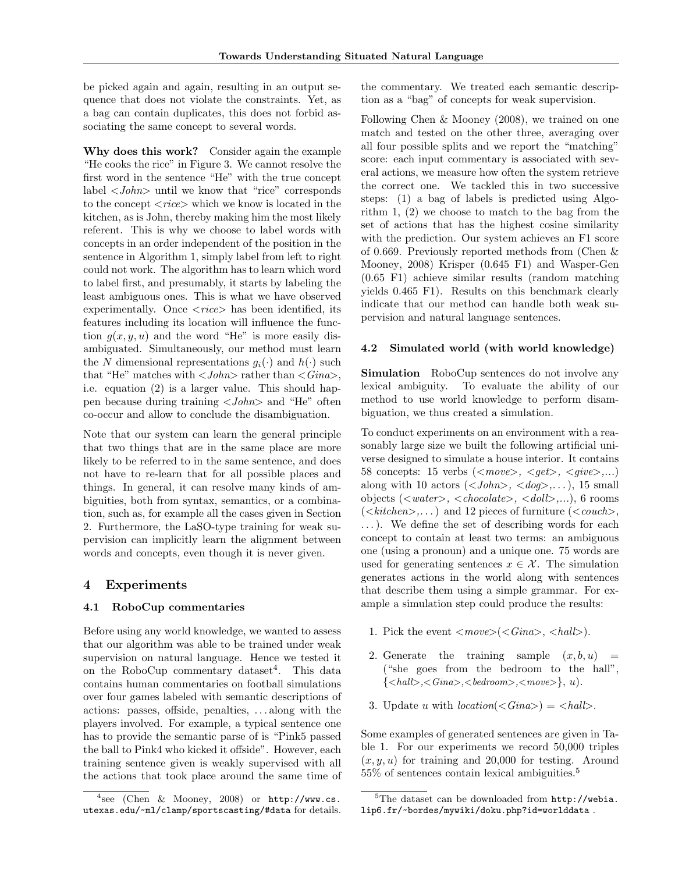be picked again and again, resulting in an output sequence that does not violate the constraints. Yet, as a bag can contain duplicates, this does not forbid associating the same concept to several words.

Why does this work? Consider again the example "He cooks the rice" in Figure 3. We cannot resolve the first word in the sentence "He" with the true concept label <John> until we know that "rice" corresponds to the concept  $\langle$  rice  $\rangle$  which we know is located in the kitchen, as is John, thereby making him the most likely referent. This is why we choose to label words with concepts in an order independent of the position in the sentence in Algorithm 1, simply label from left to right could not work. The algorithm has to learn which word to label first, and presumably, it starts by labeling the least ambiguous ones. This is what we have observed experimentally. Once  $\langle$ rice $\rangle$  has been identified, its features including its location will influence the function  $g(x, y, u)$  and the word "He" is more easily disambiguated. Simultaneously, our method must learn the N dimensional representations  $g_i(\cdot)$  and  $h(\cdot)$  such that "He" matches with  $\langle John \rangle$  rather than  $\langle Gina \rangle$ , i.e. equation (2) is a larger value. This should happen because during training <John> and "He" often co-occur and allow to conclude the disambiguation.

Note that our system can learn the general principle that two things that are in the same place are more likely to be referred to in the same sentence, and does not have to re-learn that for all possible places and things. In general, it can resolve many kinds of ambiguities, both from syntax, semantics, or a combination, such as, for example all the cases given in Section 2. Furthermore, the LaSO-type training for weak supervision can implicitly learn the alignment between words and concepts, even though it is never given.

### 4 Experiments

#### 4.1 RoboCup commentaries

Before using any world knowledge, we wanted to assess that our algorithm was able to be trained under weak supervision on natural language. Hence we tested it on the RoboCup commentary dataset<sup>4</sup>. This data contains human commentaries on football simulations over four games labeled with semantic descriptions of actions: passes, offside, penalties, . . . along with the players involved. For example, a typical sentence one has to provide the semantic parse of is "Pink5 passed the ball to Pink4 who kicked it offside". However, each training sentence given is weakly supervised with all the actions that took place around the same time of the commentary. We treated each semantic description as a "bag" of concepts for weak supervision.

Following Chen & Mooney (2008), we trained on one match and tested on the other three, averaging over all four possible splits and we report the "matching" score: each input commentary is associated with several actions, we measure how often the system retrieve the correct one. We tackled this in two successive steps: (1) a bag of labels is predicted using Algorithm 1, (2) we choose to match to the bag from the set of actions that has the highest cosine similarity with the prediction. Our system achieves an F1 score of 0.669. Previously reported methods from (Chen & Mooney, 2008) Krisper (0.645 F1) and Wasper-Gen (0.65 F1) achieve similar results (random matching yields 0.465 F1). Results on this benchmark clearly indicate that our method can handle both weak supervision and natural language sentences.

#### 4.2 Simulated world (with world knowledge)

Simulation RoboCup sentences do not involve any lexical ambiguity. To evaluate the ability of our method to use world knowledge to perform disambiguation, we thus created a simulation.

To conduct experiments on an environment with a reasonably large size we built the following artificial universe designed to simulate a house interior. It contains 58 concepts: 15 verbs ( $\langle move \rangle$ ,  $\langle get \rangle$ ,  $\langle give \rangle$ ,...) along with 10 actors  $(\langle John \rangle, \langle dog \rangle, \ldots)$ , 15 small objects  $(\langle water \rangle, \langle chocolate \rangle, \langle doll \rangle, ...)$ , 6 rooms  $(\langle$ kitchen $\rangle$ ,...) and 12 pieces of furniture  $(\langle \text{couch} \rangle,$ ...). We define the set of describing words for each concept to contain at least two terms: an ambiguous one (using a pronoun) and a unique one. 75 words are used for generating sentences  $x \in \mathcal{X}$ . The simulation generates actions in the world along with sentences that describe them using a simple grammar. For example a simulation step could produce the results:

- 1. Pick the event  $\langle move \rangle \langle \langle \text{Gina} \rangle, \langle \text{hall} \rangle).$
- 2. Generate the training sample  $(x, b, u)$  = ("she goes from the bedroom to the hall",  $\{, , , .$
- 3. Update u with  $location(<\text{Gina}>)=\text{<} \text{hall}>$ .

Some examples of generated sentences are given in Table 1. For our experiments we record 50,000 triples  $(x, y, u)$  for training and 20,000 for testing. Around 55% of sentences contain lexical ambiguities.<sup>5</sup>

 $4$ see (Chen & Mooney, 2008) or http://www.cs. utexas.edu/~ml/clamp/sportscasting/#data for details.

<sup>5</sup>The dataset can be downloaded from http://webia. lip6.fr/~bordes/mywiki/doku.php?id=worlddata .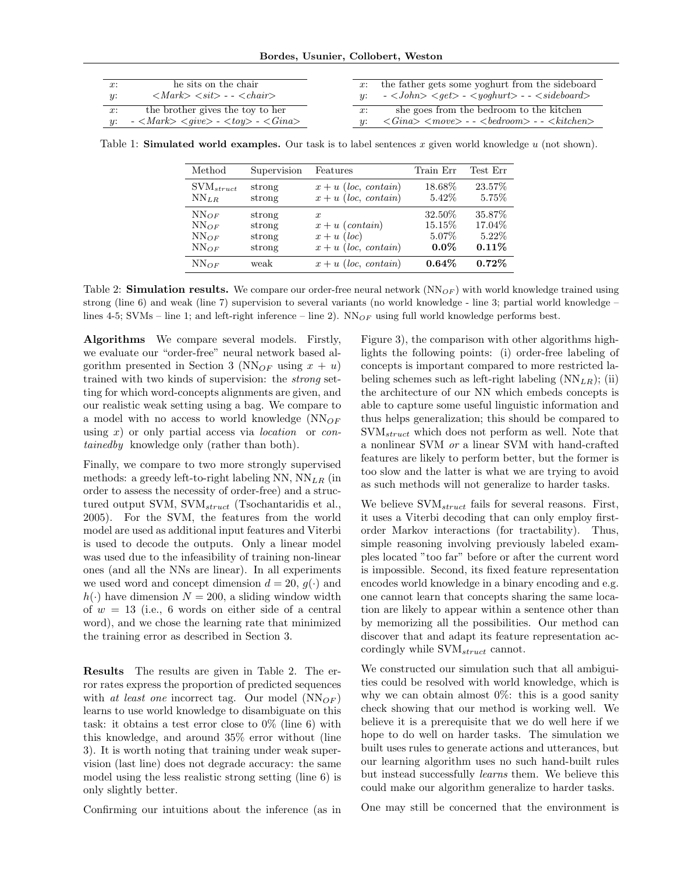| x: | he sits on the chair                                                          |    | x: the father gets some yoghurt from the sideboard                                                                                                    |
|----|-------------------------------------------------------------------------------|----|-------------------------------------------------------------------------------------------------------------------------------------------------------|
| u: | $\langle Mark \rangle \langle sit \rangle$ - - $\langle chair \rangle$        |    | $-$ < John > < get > $-$ < yoghurt > $-$ < sideboard >                                                                                                |
| x: | the brother gives the toy to her<br>$-$ < Mark> < give> $-$ < toy> $-$ < Gina | x: | she goes from the bedroom to the kitchen<br>$\langle Gina \rangle$ $\langle move \rangle$ - - $\langle bedroom \rangle$ - - $\langle kitchen \rangle$ |

Table 1: **Simulated world examples.** Our task is to label sentences x given world knowledge  $u$  (not shown).

| Method                | Supervision | Features               | Train Err | Test Err |
|-----------------------|-------------|------------------------|-----------|----------|
| $\text{SVM}_{struct}$ | strong      | $x + u$ (loc. contain) | 18.68%    | 23.57\%  |
| $NN_{LR}$             | strong      | $x + u$ (loc, contain) | 5.42\%    | 5.75%    |
| $NN_{OF}$             | strong      | $\boldsymbol{x}$       | 32.50%    | 35.87\%  |
| $NN_{OF}$             | strong      | $x + u$ (contain)      | 15.15%    | 17.04\%  |
| $NN_{OF}$             | strong      | $x + u$ (loc)          | 5.07%     | $5.22\%$ |
| $NN_{OF}$             | strong      | $x + u$ (loc, contain) | $0.0\%$   | $0.11\%$ |
| $NN_{OF}$             | weak        | $x + u$ (loc. contain) | 0.64%     | $0.72\%$ |

Table 2: Simulation results. We compare our order-free neural network  $(NN_{OF})$  with world knowledge trained using strong (line 6) and weak (line 7) supervision to several variants (no world knowledge - line 3; partial world knowledge – lines 4-5; SVMs – line 1; and left-right inference – line 2).  $NN_{OF}$  using full world knowledge performs best.

Algorithms We compare several models. Firstly, we evaluate our "order-free" neural network based algorithm presented in Section 3 (NN<sub>OF</sub> using  $x + u$ ) trained with two kinds of supervision: the strong setting for which word-concepts alignments are given, and our realistic weak setting using a bag. We compare to a model with no access to world knowledge  $(NN_{OF}$ using  $x$ ) or only partial access via *location* or *con*tainedby knowledge only (rather than both).

Finally, we compare to two more strongly supervised methods: a greedy left-to-right labeling NN,  $NN_{LR}$  (in order to assess the necessity of order-free) and a structured output SVM,  $\text{SVM}_{struct}$  (Tsochantaridis et al., 2005). For the SVM, the features from the world model are used as additional input features and Viterbi is used to decode the outputs. Only a linear model was used due to the infeasibility of training non-linear ones (and all the NNs are linear). In all experiments we used word and concept dimension  $d = 20$ ,  $q(\cdot)$  and  $h(\cdot)$  have dimension  $N = 200$ , a sliding window width of  $w = 13$  (i.e., 6 words on either side of a central word), and we chose the learning rate that minimized the training error as described in Section 3.

Results The results are given in Table 2. The error rates express the proportion of predicted sequences with at least one incorrect tag. Our model  $(NN_{OF})$ learns to use world knowledge to disambiguate on this task: it obtains a test error close to  $0\%$  (line 6) with this knowledge, and around 35% error without (line 3). It is worth noting that training under weak supervision (last line) does not degrade accuracy: the same model using the less realistic strong setting (line 6) is only slightly better.

Confirming our intuitions about the inference (as in

Figure 3), the comparison with other algorithms highlights the following points: (i) order-free labeling of concepts is important compared to more restricted labeling schemes such as left-right labeling  $(NN_{LR});$  (ii) the architecture of our NN which embeds concepts is able to capture some useful linguistic information and thus helps generalization; this should be compared to  $\text{SVM}_{struct}$  which does not perform as well. Note that a nonlinear SVM or a linear SVM with hand-crafted features are likely to perform better, but the former is too slow and the latter is what we are trying to avoid as such methods will not generalize to harder tasks.

We believe  $\text{SVM}_{struct}$  fails for several reasons. First, it uses a Viterbi decoding that can only employ firstorder Markov interactions (for tractability). Thus, simple reasoning involving previously labeled examples located "too far" before or after the current word is impossible. Second, its fixed feature representation encodes world knowledge in a binary encoding and e.g. one cannot learn that concepts sharing the same location are likely to appear within a sentence other than by memorizing all the possibilities. Our method can discover that and adapt its feature representation accordingly while  $\text{SVM}_{struct}$  cannot.

We constructed our simulation such that all ambiguities could be resolved with world knowledge, which is why we can obtain almost  $0\%$ : this is a good sanity check showing that our method is working well. We believe it is a prerequisite that we do well here if we hope to do well on harder tasks. The simulation we built uses rules to generate actions and utterances, but our learning algorithm uses no such hand-built rules but instead successfully learns them. We believe this could make our algorithm generalize to harder tasks.

One may still be concerned that the environment is